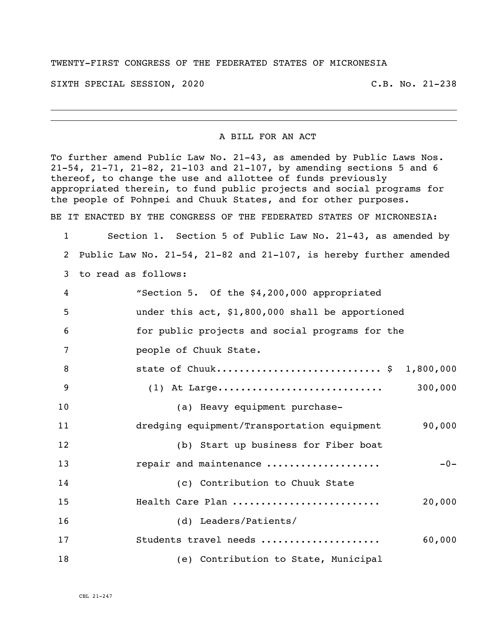## TWENTY-FIRST CONGRESS OF THE FEDERATED STATES OF MICRONESIA

SIXTH SPECIAL SESSION, 2020 C.B. No. 21-238

## A BILL FOR AN ACT

To further amend Public Law No. 21-43, as amended by Public Laws Nos. 21-54, 21-71, 21-82, 21-103 and 21-107, by amending sections 5 and 6 thereof, to change the use and allottee of funds previously appropriated therein, to fund public projects and social programs for the people of Pohnpei and Chuuk States, and for other purposes.

BE IT ENACTED BY THE CONGRESS OF THE FEDERATED STATES OF MICRONESIA:

 Section 1. Section 5 of Public Law No. 21-43, as amended by Public Law No. 21-54, 21-82 and 21-107, is hereby further amended to read as follows:

| 4               | "Section 5. Of the \$4,200,000 appropriated           |
|-----------------|-------------------------------------------------------|
| 5               | under this act, \$1,800,000 shall be apportioned      |
| 6               | for public projects and social programs for the       |
| $7\phantom{.0}$ | people of Chuuk State.                                |
| 8               | state of Chuuk \$ 1,800,000                           |
| 9               | 300,000                                               |
| 10              | (a) Heavy equipment purchase-                         |
| 11              | dredging equipment/Transportation equipment<br>90,000 |
| 12              | (b) Start up business for Fiber boat                  |
| 13              | repair and maintenance<br>$-0-$                       |
| 14              | (c) Contribution to Chuuk State                       |
| 15              | Health Care Plan<br>20,000                            |
| 16              | (d) Leaders/Patients/                                 |
| 17              | Students travel needs<br>60,000                       |
| 18              | (e) Contribution to State, Municipal                  |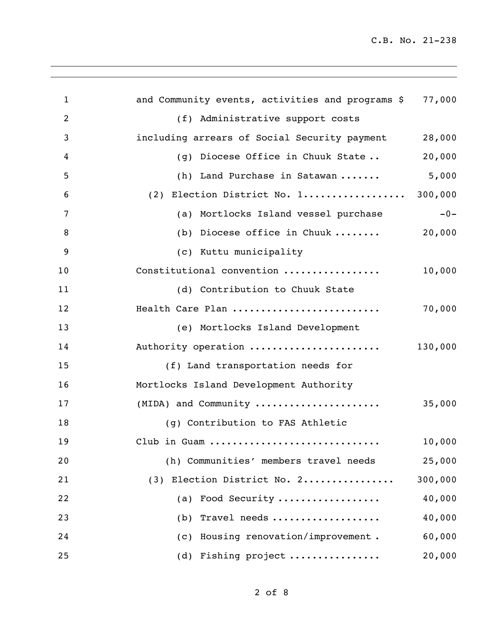| $\mathbf{1}$   | and Community events, activities and programs \$ | 77,000  |
|----------------|--------------------------------------------------|---------|
| $\overline{2}$ | (f) Administrative support costs                 |         |
| 3              | including arrears of Social Security payment     | 28,000  |
| 4              | (g) Diocese Office in Chuuk State                | 20,000  |
| 5              | (h) Land Purchase in Satawan                     | 5,000   |
| 6              | (2) Election District No. 1 300,000              |         |
| 7              | (a) Mortlocks Island vessel purchase             | $-0-$   |
| 8              | (b) Diocese office in Chuuk $\ldots \ldots$      | 20,000  |
| 9              | (c) Kuttu municipality                           |         |
| 10             | Constitutional convention                        | 10,000  |
| 11             | (d) Contribution to Chuuk State                  |         |
| 12             | Health Care Plan                                 | 70,000  |
| 13             | (e) Mortlocks Island Development                 |         |
| 14             | Authority operation                              | 130,000 |
| 15             | (f) Land transportation needs for                |         |
| 16             | Mortlocks Island Development Authority           |         |
| 17             | (MIDA) and Community                             | 35,000  |
| 18             | (g) Contribution to FAS Athletic                 |         |
| 19             | Club in Guam                                     | 10,000  |
| 20             | (h) Communities' members travel needs            | 25,000  |
| 21             | (3) Election District No. 2                      | 300,000 |
| 22             | (a) Food Security                                | 40,000  |
| 23             | (b) Travel needs                                 | 40,000  |
| 24             | (c) Housing renovation/improvement.              | 60,000  |
| 25             | (d) Fishing project                              | 20,000  |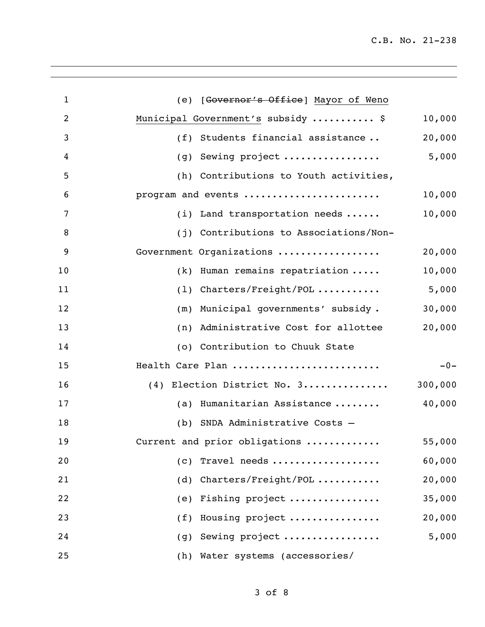| $\mathbf{1}$   | (e) [Governor's Office] Mayor of Weno       |         |
|----------------|---------------------------------------------|---------|
| $\overline{2}$ | Municipal Government's subsidy  \$          | 10,000  |
| 3              | (f) Students financial assistance           | 20,000  |
| 4              | Sewing project<br>(g)                       | 5,000   |
| 5              | (h) Contributions to Youth activities,      |         |
| 6              | program and events                          | 10,000  |
| 7              | (i) Land transportation needs $\ldots$ .    | 10,000  |
| 8              | (j) Contributions to Associations/Non-      |         |
| 9              | Government Organizations                    | 20,000  |
| 10             | $(k)$ Human remains repatriation $\ldots$ . | 10,000  |
| 11             | $(1)$ Charters/Freight/POL                  | 5,000   |
| 12             | Municipal governments' subsidy.<br>(m)      | 30,000  |
| 13             | Administrative Cost for allottee<br>(n)     | 20,000  |
| 14             | (o) Contribution to Chuuk State             |         |
| 15             | Health Care Plan                            | $-0-$   |
| 16             | (4) Election District No. 3                 | 300,000 |
| 17             | Humanitarian Assistance<br>(a)              | 40,000  |
| 18             | (b) SNDA Administrative Costs -             |         |
| 19             | Current and prior obligations               | 55,000  |
| 20             | (c) Travel needs                            | 60,000  |
| 21             | (d) Charters/Freight/POL                    | 20,000  |
| 22             | (e) Fishing project                         | 35,000  |
| 23             | (f) Housing project                         | 20,000  |
| 24             | (g) Sewing project                          | 5,000   |
| 25             | (h) Water systems (accessories/             |         |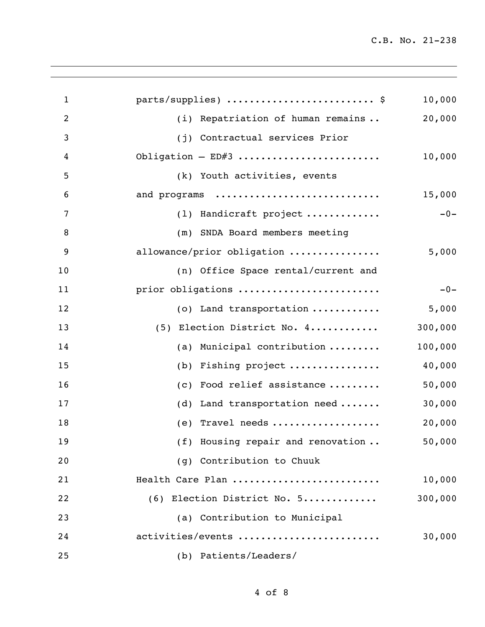| $\mathbf{1}$   | parts/supplies)  \$                 | 10,000  |
|----------------|-------------------------------------|---------|
| $\overline{2}$ | (i) Repatriation of human remains   | 20,000  |
| 3              | (j) Contractual services Prior      |         |
| 4              | Obligation $-$ ED#3                 | 10,000  |
| 5              | (k) Youth activities, events        |         |
| 6              | and programs                        | 15,000  |
| 7              | (1) Handicraft project              | $-0-$   |
| 8              | (m) SNDA Board members meeting      |         |
| 9              | allowance/prior obligation          | 5,000   |
| 10             | (n) Office Space rental/current and |         |
| 11             | prior obligations                   | $-0-$   |
| 12             | (o) Land transportation             | 5,000   |
| 13             | (5) Election District No. 4         | 300,000 |
| 14             | (a) Municipal contribution          | 100,000 |
| 15             | (b) Fishing project                 | 40,000  |
| 16             | (c) Food relief assistance          | 50,000  |
| 17             | (d) Land transportation need        | 30,000  |
| 18             | (e) Travel needs                    | 20,000  |
| 19             | (f) Housing repair and renovation   | 50,000  |
| 20             | (g) Contribution to Chuuk           |         |
| 21             | Health Care Plan                    | 10,000  |
| 22             | (6) Election District No. 5         | 300,000 |
| 23             | (a) Contribution to Municipal       |         |
| 24             | activities/events                   | 30,000  |
| 25             | (b) Patients/Leaders/               |         |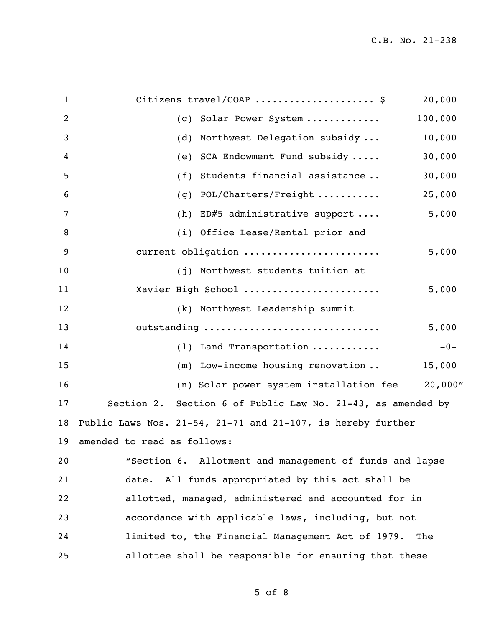| $\mathbf 1$    | Citizens travel/COAP  \$<br>20,000                                  |
|----------------|---------------------------------------------------------------------|
| $\overline{2}$ | (c) Solar Power System<br>100,000                                   |
| 3              | Northwest Delegation subsidy<br>10,000<br>(d)                       |
| 4              | SCA Endowment Fund subsidy<br>30,000<br>(e)                         |
| 5              | 30,000<br>Students financial assistance<br>(f)                      |
| 6              | POL/Charters/Freight<br>25,000<br>(q)                               |
| $\overline{7}$ | 5,000<br>(h) ED#5 administrative support $\ldots$ .                 |
| 8              | (i) Office Lease/Rental prior and                                   |
| 9              | current obligation<br>5,000                                         |
| 10             | (j) Northwest students tuition at                                   |
| 11             | Xavier High School<br>5,000                                         |
| 12             | (k) Northwest Leadership summit                                     |
| 13             | outstanding<br>5,000                                                |
| 14             | (1) Land Transportation<br>$-0-$                                    |
| 15             | (m) Low-income housing renovation<br>15,000                         |
| 16             | (n) Solar power system installation fee 20,000"                     |
| 17             | Section 2. Section 6 of Public Law No. 21-43, as amended by         |
| 18             | Public Laws Nos. $21-54$ , $21-71$ and $21-107$ , is hereby further |
|                | 19 amended to read as follows:                                      |
| 20             | "Section 6. Allotment and management of funds and lapse             |
| 21             | date. All funds appropriated by this act shall be                   |
| 22             | allotted, managed, administered and accounted for in                |
| 23             | accordance with applicable laws, including, but not                 |
| 24             | limited to, the Financial Management Act of 1979.<br>The            |
| 25             | allottee shall be responsible for ensuring that these               |
|                |                                                                     |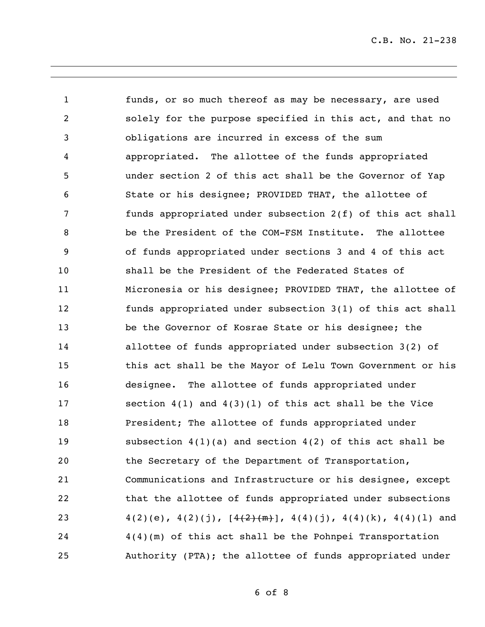funds, or so much thereof as may be necessary, are used solely for the purpose specified in this act, and that no obligations are incurred in excess of the sum appropriated. The allottee of the funds appropriated under section 2 of this act shall be the Governor of Yap State or his designee; PROVIDED THAT, the allottee of funds appropriated under subsection 2(f) of this act shall be the President of the COM-FSM Institute. The allottee of funds appropriated under sections 3 and 4 of this act shall be the President of the Federated States of Micronesia or his designee; PROVIDED THAT, the allottee of funds appropriated under subsection 3(1) of this act shall be the Governor of Kosrae State or his designee; the allottee of funds appropriated under subsection 3(2) of this act shall be the Mayor of Lelu Town Government or his designee. The allottee of funds appropriated under section 4(1) and 4(3)(l) of this act shall be the Vice President; The allottee of funds appropriated under subsection 4(1)(a) and section 4(2) of this act shall be the Secretary of the Department of Transportation, Communications and Infrastructure or his designee, except that the allottee of funds appropriated under subsections  $4(2)(e), 4(2)(j), [\frac{4(2)+(m)}{m}], 4(4)(j), 4(4)(k), 4(4)(l)$  and 4(4)(m) of this act shall be the Pohnpei Transportation Authority (PTA); the allottee of funds appropriated under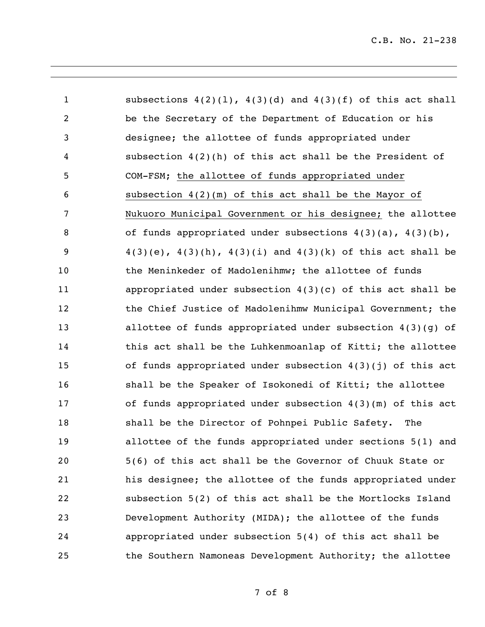| $\mathbf{1}$   | subsections $4(2)(1)$ , $4(3)(d)$ and $4(3)(f)$ of this act shall    |
|----------------|----------------------------------------------------------------------|
| $\overline{2}$ | be the Secretary of the Department of Education or his               |
| $\mathfrak{Z}$ | designee; the allottee of funds appropriated under                   |
| 4              | subsection $4(2)(h)$ of this act shall be the President of           |
| 5              | COM-FSM; the allottee of funds appropriated under                    |
| 6              | subsection $4(2)(m)$ of this act shall be the Mayor of               |
| 7              | Nukuoro Municipal Government or his designee; the allottee           |
| $\, 8$         | of funds appropriated under subsections $4(3)(a)$ , $4(3)(b)$ ,      |
| 9              | $4(3)(e)$ , $4(3)(h)$ , $4(3)(i)$ and $4(3)(k)$ of this act shall be |
| 10             | the Meninkeder of Madolenihmw; the allottee of funds                 |
| 11             | appropriated under subsection $4(3)(c)$ of this act shall be         |
| 12             | the Chief Justice of Madolenihmw Municipal Government; the           |
| 13             | allottee of funds appropriated under subsection $4(3)(g)$ of         |
| 14             | this act shall be the Luhkenmoanlap of Kitti; the allottee           |
| 15             | of funds appropriated under subsection 4(3)(j) of this act           |
| 16             | shall be the Speaker of Isokonedi of Kitti; the allottee             |
| 17             | of funds appropriated under subsection $4(3)(m)$ of this act         |
| 18             | shall be the Director of Pohnpei Public Safety. The                  |
| 19             | allottee of the funds appropriated under sections 5(1) and           |
| 20             | 5(6) of this act shall be the Governor of Chuuk State or             |
| 21             | his designee; the allottee of the funds appropriated under           |
| 22             | subsection 5(2) of this act shall be the Mortlocks Island            |
| 23             | Development Authority (MIDA); the allottee of the funds              |
| 24             | appropriated under subsection 5(4) of this act shall be              |
| 25             | the Southern Namoneas Development Authority; the allottee            |

of 8